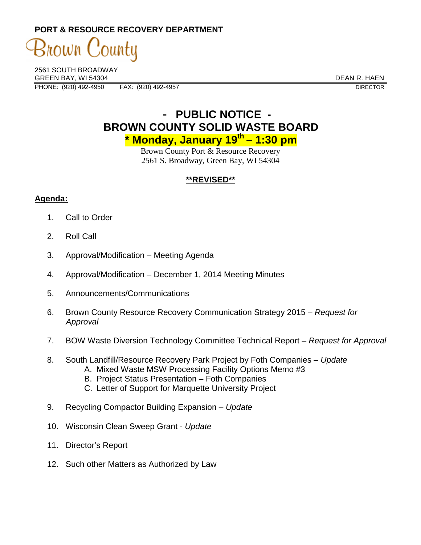**PORT & RESOURCE RECOVERY DEPARTMENT** 

County rown (

2561 SOUTH BROADWAY GREEN BAY, WI 54304 DEAN R. HAEN PHONE: (920) 492-4950 FAX: (920) 492-4957 FAX: (920) 492-4957

## - **PUBLIC NOTICE - BROWN COUNTY SOLID WASTE BOARD \* Monday, January 19th – 1:30 pm**

Brown County Port & Resource Recovery 2561 S. Broadway, Green Bay, WI 54304

## **\*\*REVISED\*\***

## **Agenda:**

- 1. Call to Order
- 2. Roll Call
- 3. Approval/Modification Meeting Agenda
- 4. Approval/Modification December 1, 2014 Meeting Minutes
- 5. Announcements/Communications
- 6. Brown County Resource Recovery Communication Strategy 2015 Request for Approval
- 7. BOW Waste Diversion Technology Committee Technical Report Request for Approval
- 8. South Landfill/Resource Recovery Park Project by Foth Companies Update
	- A. Mixed Waste MSW Processing Facility Options Memo #3
	- B. Project Status Presentation Foth Companies
	- C. Letter of Support for Marquette University Project
- 9. Recycling Compactor Building Expansion Update
- 10. Wisconsin Clean Sweep Grant Update
- 11. Director's Report
- 12. Such other Matters as Authorized by Law